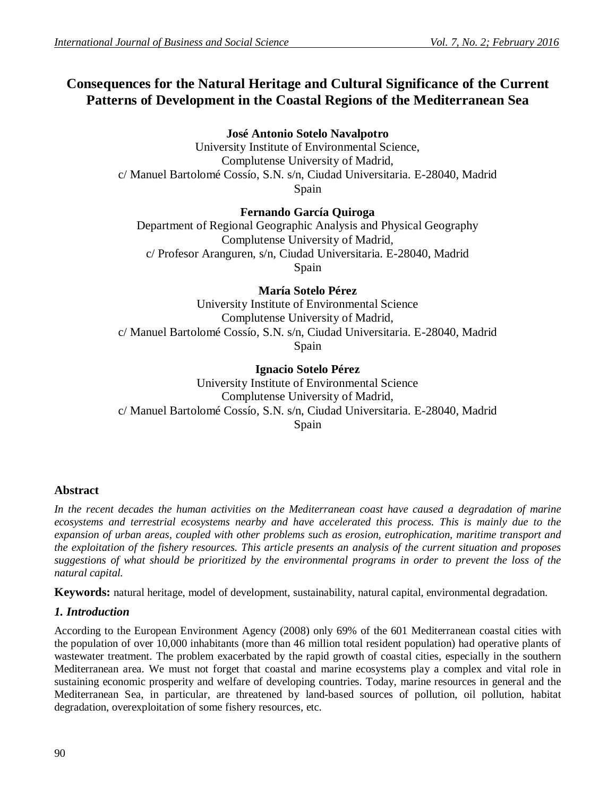# **Consequences for the Natural Heritage and Cultural Significance of the Current Patterns of Development in the Coastal Regions of the Mediterranean Sea**

**José Antonio Sotelo Navalpotro**

University Institute of Environmental Science, Complutense University of Madrid, c/ Manuel Bartolomé Cossío, S.N. s/n, Ciudad Universitaria. E-28040, Madrid Spain

## **Fernando García Quiroga**

Department of Regional Geographic Analysis and Physical Geography Complutense University of Madrid, c/ Profesor Aranguren, s/n, Ciudad Universitaria. E-28040, Madrid Spain

**María Sotelo Pérez**

University Institute of Environmental Science Complutense University of Madrid, c/ Manuel Bartolomé Cossío, S.N. s/n, Ciudad Universitaria. E-28040, Madrid Spain

**Ignacio Sotelo Pérez** University Institute of Environmental Science Complutense University of Madrid, c/ Manuel Bartolomé Cossío, S.N. s/n, Ciudad Universitaria. E-28040, Madrid Spain

## **Abstract**

*In the recent decades the human activities on the Mediterranean coast have caused a degradation of marine ecosystems and terrestrial ecosystems nearby and have accelerated this process. This is mainly due to the expansion of urban areas, coupled with other problems such as erosion, eutrophication, maritime transport and the exploitation of the fishery resources. This article presents an analysis of the current situation and proposes suggestions of what should be prioritized by the environmental programs in order to prevent the loss of the natural capital.*

**Keywords:** natural heritage, model of development, sustainability, natural capital, environmental degradation.

## *1. Introduction*

According to the European Environment Agency (2008) only 69% of the 601 Mediterranean coastal cities with the population of over 10,000 inhabitants (more than 46 million total resident population) had operative plants of wastewater treatment. The problem exacerbated by the rapid growth of coastal cities, especially in the southern Mediterranean area. We must not forget that coastal and marine ecosystems play a complex and vital role in sustaining economic prosperity and welfare of developing countries. Today, marine resources in general and the Mediterranean Sea, in particular, are threatened by land-based sources of pollution, oil pollution, habitat degradation, overexploitation of some fishery resources, etc.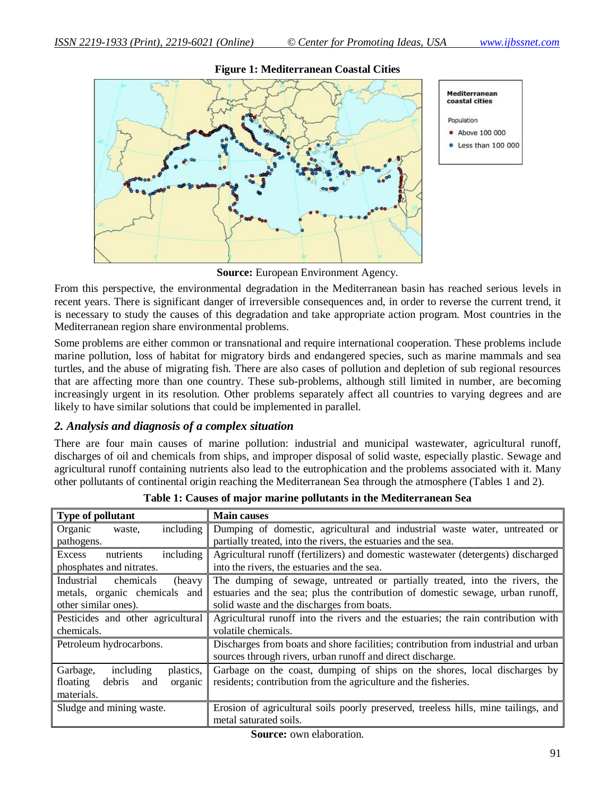

#### **Figure 1: Mediterranean Coastal Cities**

**Source:** European Environment Agency.

From this perspective, the environmental degradation in the Mediterranean basin has reached serious levels in recent years. There is significant danger of irreversible consequences and, in order to reverse the current trend, it is necessary to study the causes of this degradation and take appropriate action program. Most countries in the Mediterranean region share environmental problems.

Some problems are either common or transnational and require international cooperation. These problems include marine pollution, loss of habitat for migratory birds and endangered species, such as marine mammals and sea turtles, and the abuse of migrating fish. There are also cases of pollution and depletion of sub regional resources that are affecting more than one country. These sub-problems, although still limited in number, are becoming increasingly urgent in its resolution. Other problems separately affect all countries to varying degrees and are likely to have similar solutions that could be implemented in parallel.

## *2. Analysis and diagnosis of a complex situation*

There are four main causes of marine pollution: industrial and municipal wastewater, agricultural runoff, discharges of oil and chemicals from ships, and improper disposal of solid waste, especially plastic. Sewage and agricultural runoff containing nutrients also lead to the eutrophication and the problems associated with it. Many other pollutants of continental origin reaching the Mediterranean Sea through the atmosphere (Tables 1 and 2).

| Type of pollutant                                                                                             | <b>Main causes</b>                                                                 |  |
|---------------------------------------------------------------------------------------------------------------|------------------------------------------------------------------------------------|--|
| including<br>Organic<br>waste,                                                                                | Dumping of domestic, agricultural and industrial waste water, untreated or         |  |
| pathogens.                                                                                                    | partially treated, into the rivers, the estuaries and the sea.                     |  |
| including<br>nutrients<br>Excess                                                                              | Agricultural runoff (fertilizers) and domestic wastewater (detergents) discharged  |  |
| phosphates and nitrates.                                                                                      | into the rivers, the estuaries and the sea.                                        |  |
| Industrial<br>chemicals<br>(heavy)                                                                            | The dumping of sewage, untreated or partially treated, into the rivers, the        |  |
| metals, organic chemicals and                                                                                 | estuaries and the sea; plus the contribution of domestic sewage, urban runoff,     |  |
| other similar ones).                                                                                          | solid waste and the discharges from boats.                                         |  |
| Pesticides and other agricultural                                                                             | Agricultural runoff into the rivers and the estuaries; the rain contribution with  |  |
| chemicals.                                                                                                    | volatile chemicals.                                                                |  |
| Discharges from boats and shore facilities; contribution from industrial and urban<br>Petroleum hydrocarbons. |                                                                                    |  |
|                                                                                                               | sources through rivers, urban runoff and direct discharge.                         |  |
| Garbage,<br>including<br>plastics,                                                                            | Garbage on the coast, dumping of ships on the shores, local discharges by          |  |
| floating<br>debris<br>organic<br>and                                                                          | residents; contribution from the agriculture and the fisheries.                    |  |
| materials.                                                                                                    |                                                                                    |  |
| Sludge and mining waste.                                                                                      | Erosion of agricultural soils poorly preserved, treeless hills, mine tailings, and |  |
|                                                                                                               | metal saturated soils.                                                             |  |
|                                                                                                               |                                                                                    |  |

**Table 1: Causes of major marine pollutants in the Mediterranean Sea**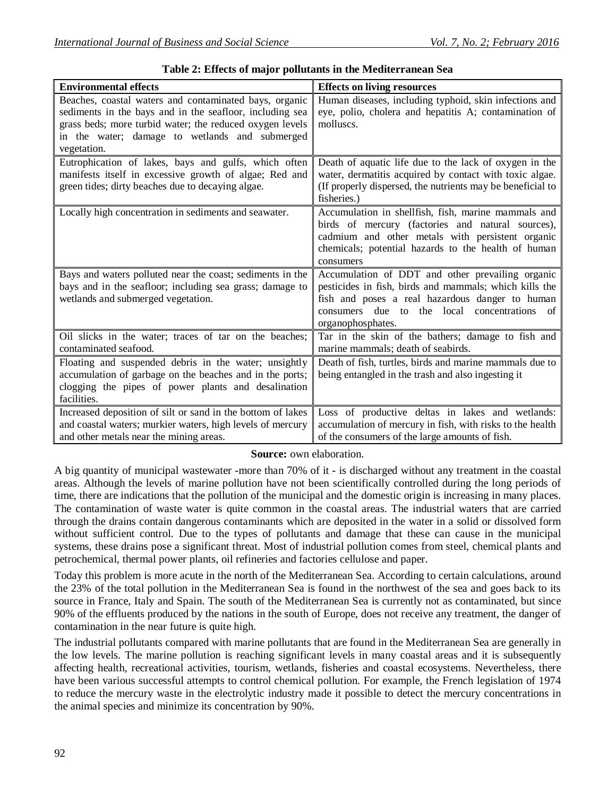| <b>Environmental effects</b>                                                                                                                                                                                                                    | <b>Effects on living resources</b>                                                                                                                                                                                                      |
|-------------------------------------------------------------------------------------------------------------------------------------------------------------------------------------------------------------------------------------------------|-----------------------------------------------------------------------------------------------------------------------------------------------------------------------------------------------------------------------------------------|
| Beaches, coastal waters and contaminated bays, organic<br>sediments in the bays and in the seafloor, including sea<br>grass beds; more turbid water; the reduced oxygen levels<br>in the water; damage to wetlands and submerged<br>vegetation. | Human diseases, including typhoid, skin infections and<br>eye, polio, cholera and hepatitis A; contamination of<br>molluscs.                                                                                                            |
| Eutrophication of lakes, bays and gulfs, which often<br>manifests itself in excessive growth of algae; Red and<br>green tides; dirty beaches due to decaying algae.                                                                             | Death of aquatic life due to the lack of oxygen in the<br>water, dermatitis acquired by contact with toxic algae.<br>(If properly dispersed, the nutrients may be beneficial to<br>fisheries.)                                          |
| Locally high concentration in sediments and seawater.                                                                                                                                                                                           | Accumulation in shellfish, fish, marine mammals and<br>birds of mercury (factories and natural sources),<br>cadmium and other metals with persistent organic<br>chemicals; potential hazards to the health of human<br>consumers        |
| Bays and waters polluted near the coast; sediments in the<br>bays and in the seafloor; including sea grass; damage to<br>wetlands and submerged vegetation.                                                                                     | Accumulation of DDT and other prevailing organic<br>pesticides in fish, birds and mammals; which kills the<br>fish and poses a real hazardous danger to human<br>consumers due to the local concentrations<br>- of<br>organophosphates. |
| Oil slicks in the water; traces of tar on the beaches;<br>contaminated seafood.                                                                                                                                                                 | Tar in the skin of the bathers; damage to fish and<br>marine mammals; death of seabirds.                                                                                                                                                |
| Floating and suspended debris in the water; unsightly<br>accumulation of garbage on the beaches and in the ports;<br>clogging the pipes of power plants and desalination<br>facilities.                                                         | Death of fish, turtles, birds and marine mammals due to<br>being entangled in the trash and also ingesting it                                                                                                                           |
| Increased deposition of silt or sand in the bottom of lakes<br>and coastal waters; murkier waters, high levels of mercury<br>and other metals near the mining areas.                                                                            | Loss of productive deltas in lakes and wetlands:<br>accumulation of mercury in fish, with risks to the health<br>of the consumers of the large amounts of fish.                                                                         |

**Table 2: Effects of major pollutants in the Mediterranean Sea**

#### **Source:** own elaboration.

A big quantity of municipal wastewater -more than 70% of it - is discharged without any treatment in the coastal areas. Although the levels of marine pollution have not been scientifically controlled during the long periods of time, there are indications that the pollution of the municipal and the domestic origin is increasing in many places. The contamination of waste water is quite common in the coastal areas. The industrial waters that are carried through the drains contain dangerous contaminants which are deposited in the water in a solid or dissolved form without sufficient control. Due to the types of pollutants and damage that these can cause in the municipal systems, these drains pose a significant threat. Most of industrial pollution comes from steel, chemical plants and petrochemical, thermal power plants, oil refineries and factories cellulose and paper.

Today this problem is more acute in the north of the Mediterranean Sea. According to certain calculations, around the 23% of the total pollution in the Mediterranean Sea is found in the northwest of the sea and goes back to its source in France, Italy and Spain. The south of the Mediterranean Sea is currently not as contaminated, but since 90% of the effluents produced by the nations in the south of Europe, does not receive any treatment, the danger of contamination in the near future is quite high.

The industrial pollutants compared with marine pollutants that are found in the Mediterranean Sea are generally in the low levels. The marine pollution is reaching significant levels in many coastal areas and it is subsequently affecting health, recreational activities, tourism, wetlands, fisheries and coastal ecosystems. Nevertheless, there have been various successful attempts to control chemical pollution. For example, the French legislation of 1974 to reduce the mercury waste in the electrolytic industry made it possible to detect the mercury concentrations in the animal species and minimize its concentration by 90%.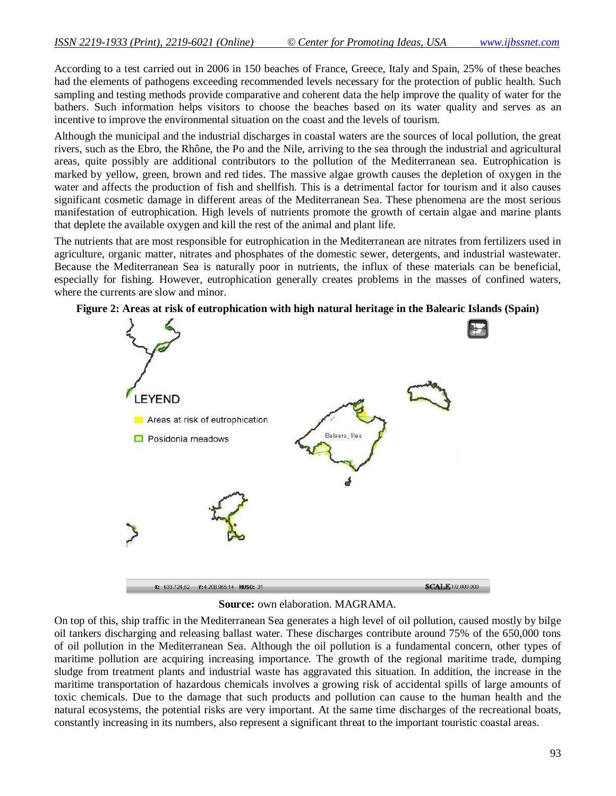According to a test carried out in 2006 in 150 beaches of France, Greece, Italy and Spain, 25% of these beaches had the elements of pathogens exceeding recommended levels necessary for the protection of public health. Such sampling and testing methods provide comparative and coherent data the help improve the quality of water for the bathers. Such information helps visitors to choose the beaches based on its water quality and serves as an incentive to improve the environmental situation on the coast and the levels of tourism.

Although the municipal and the industrial discharges in coastal waters are the sources of local pollution, the great rivers, such as the Ebro, the Rhône, the Po and the Nile, arriving to the sea through the industrial and agricultural areas, quite possibly are additional contributors to the pollution of the Mediterranean sea. Eutrophication is marked by yellow, green, brown and red tides. The massive algae growth causes the depletion of oxygen in the water and affects the production of fish and shellfish. This is a detrimental factor for tourism and it also causes significant cosmetic damage in different areas of the Mediterranean Sea. These phenomena are the most serious manifestation of eutrophication. High levels of nutrients promote the growth of certain algae and marine plants that deplete the available oxygen and kill the rest of the animal and plant life.

The nutrients that are most responsible for eutrophication in the Mediterranean are nitrates from fertilizers used in agriculture, organic matter, nitrates and phosphates of the domestic sewer, detergents, and industrial wastewater. Because the Mediterranean Sea is naturally poor in nutrients, the influx of these materials can be beneficial, especially for fishing. However, eutrophication generally creates problems in the masses of confined waters, where the currents are slow and minor.



**Figure 2: Areas at risk of eutrophication with high natural heritage in the Balearic Islands (Spain)**

**Source:** own elaboration. MAGRAMA.

On top of this, ship traffic in the Mediterranean Sea generates a high level of oil pollution, caused mostly by bilge oil tankers discharging and releasing ballast water. These discharges contribute around 75% of the 650,000 tons of oil pollution in the Mediterranean Sea. Although the oil pollution is a fundamental concern, other types of maritime pollution are acquiring increasing importance. The growth of the regional maritime trade, dumping sludge from treatment plants and industrial waste has aggravated this situation. In addition, the increase in the maritime transportation of hazardous chemicals involves a growing risk of accidental spills of large amounts of toxic chemicals. Due to the damage that such products and pollution can cause to the human health and the natural ecosystems, the potential risks are very important. At the same time discharges of the recreational boats, constantly increasing in its numbers, also represent a significant threat to the important touristic coastal areas.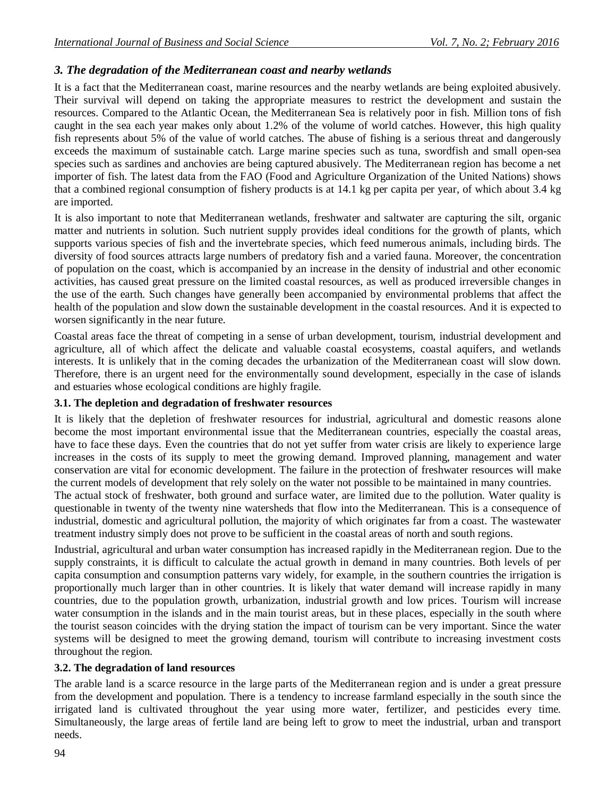## *3. The degradation of the Mediterranean coast and nearby wetlands*

It is a fact that the Mediterranean coast, marine resources and the nearby wetlands are being exploited abusively. Their survival will depend on taking the appropriate measures to restrict the development and sustain the resources. Compared to the Atlantic Ocean, the Mediterranean Sea is relatively poor in fish. Million tons of fish caught in the sea each year makes only about 1.2% of the volume of world catches. However, this high quality fish represents about 5% of the value of world catches. The abuse of fishing is a serious threat and dangerously exceeds the maximum of sustainable catch. Large marine species such as tuna, swordfish and small open-sea species such as sardines and anchovies are being captured abusively. The Mediterranean region has become a net importer of fish. The latest data from the FAO (Food and Agriculture Organization of the United Nations) shows that a combined regional consumption of fishery products is at 14.1 kg per capita per year, of which about 3.4 kg are imported.

It is also important to note that Mediterranean wetlands, freshwater and saltwater are capturing the silt, organic matter and nutrients in solution. Such nutrient supply provides ideal conditions for the growth of plants, which supports various species of fish and the invertebrate species, which feed numerous animals, including birds. The diversity of food sources attracts large numbers of predatory fish and a varied fauna. Moreover, the concentration of population on the coast, which is accompanied by an increase in the density of industrial and other economic activities, has caused great pressure on the limited coastal resources, as well as produced irreversible changes in the use of the earth. Such changes have generally been accompanied by environmental problems that affect the health of the population and slow down the sustainable development in the coastal resources. And it is expected to worsen significantly in the near future.

Coastal areas face the threat of competing in a sense of urban development, tourism, industrial development and agriculture, all of which affect the delicate and valuable coastal ecosystems, coastal aquifers, and wetlands interests. It is unlikely that in the coming decades the urbanization of the Mediterranean coast will slow down. Therefore, there is an urgent need for the environmentally sound development, especially in the case of islands and estuaries whose ecological conditions are highly fragile.

#### **3.1. The depletion and degradation of freshwater resources**

It is likely that the depletion of freshwater resources for industrial, agricultural and domestic reasons alone become the most important environmental issue that the Mediterranean countries, especially the coastal areas, have to face these days. Even the countries that do not yet suffer from water crisis are likely to experience large increases in the costs of its supply to meet the growing demand. Improved planning, management and water conservation are vital for economic development. The failure in the protection of freshwater resources will make the current models of development that rely solely on the water not possible to be maintained in many countries.

The actual stock of freshwater, both ground and surface water, are limited due to the pollution. Water quality is questionable in twenty of the twenty nine watersheds that flow into the Mediterranean. This is a consequence of industrial, domestic and agricultural pollution, the majority of which originates far from a coast. The wastewater treatment industry simply does not prove to be sufficient in the coastal areas of north and south regions.

Industrial, agricultural and urban water consumption has increased rapidly in the Mediterranean region. Due to the supply constraints, it is difficult to calculate the actual growth in demand in many countries. Both levels of per capita consumption and consumption patterns vary widely, for example, in the southern countries the irrigation is proportionally much larger than in other countries. It is likely that water demand will increase rapidly in many countries, due to the population growth, urbanization, industrial growth and low prices. Tourism will increase water consumption in the islands and in the main tourist areas, but in these places, especially in the south where the tourist season coincides with the drying station the impact of tourism can be very important. Since the water systems will be designed to meet the growing demand, tourism will contribute to increasing investment costs throughout the region.

## **3.2. The degradation of land resources**

The arable land is a scarce resource in the large parts of the Mediterranean region and is under a great pressure from the development and population. There is a tendency to increase farmland especially in the south since the irrigated land is cultivated throughout the year using more water, fertilizer, and pesticides every time. Simultaneously, the large areas of fertile land are being left to grow to meet the industrial, urban and transport needs.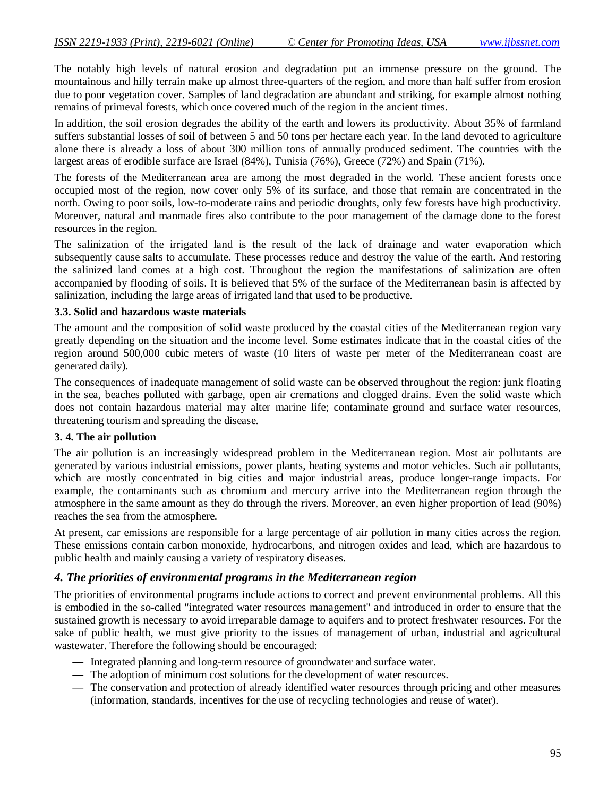The notably high levels of natural erosion and degradation put an immense pressure on the ground. The mountainous and hilly terrain make up almost three-quarters of the region, and more than half suffer from erosion due to poor vegetation cover. Samples of land degradation are abundant and striking, for example almost nothing remains of primeval forests, which once covered much of the region in the ancient times.

In addition, the soil erosion degrades the ability of the earth and lowers its productivity. About 35% of farmland suffers substantial losses of soil of between 5 and 50 tons per hectare each year. In the land devoted to agriculture alone there is already a loss of about 300 million tons of annually produced sediment. The countries with the largest areas of erodible surface are Israel (84%), Tunisia (76%), Greece (72%) and Spain (71%).

The forests of the Mediterranean area are among the most degraded in the world. These ancient forests once occupied most of the region, now cover only 5% of its surface, and those that remain are concentrated in the north. Owing to poor soils, low-to-moderate rains and periodic droughts, only few forests have high productivity. Moreover, natural and manmade fires also contribute to the poor management of the damage done to the forest resources in the region.

The salinization of the irrigated land is the result of the lack of drainage and water evaporation which subsequently cause salts to accumulate. These processes reduce and destroy the value of the earth. And restoring the salinized land comes at a high cost. Throughout the region the manifestations of salinization are often accompanied by flooding of soils. It is believed that 5% of the surface of the Mediterranean basin is affected by salinization, including the large areas of irrigated land that used to be productive.

#### **3.3. Solid and hazardous waste materials**

The amount and the composition of solid waste produced by the coastal cities of the Mediterranean region vary greatly depending on the situation and the income level. Some estimates indicate that in the coastal cities of the region around 500,000 cubic meters of waste (10 liters of waste per meter of the Mediterranean coast are generated daily).

The consequences of inadequate management of solid waste can be observed throughout the region: junk floating in the sea, beaches polluted with garbage, open air cremations and clogged drains. Even the solid waste which does not contain hazardous material may alter marine life; contaminate ground and surface water resources, threatening tourism and spreading the disease.

### **3. 4. The air pollution**

The air pollution is an increasingly widespread problem in the Mediterranean region. Most air pollutants are generated by various industrial emissions, power plants, heating systems and motor vehicles. Such air pollutants, which are mostly concentrated in big cities and major industrial areas, produce longer-range impacts. For example, the contaminants such as chromium and mercury arrive into the Mediterranean region through the atmosphere in the same amount as they do through the rivers. Moreover, an even higher proportion of lead (90%) reaches the sea from the atmosphere.

At present, car emissions are responsible for a large percentage of air pollution in many cities across the region. These emissions contain carbon monoxide, hydrocarbons, and nitrogen oxides and lead, which are hazardous to public health and mainly causing a variety of respiratory diseases.

#### *4. The priorities of environmental programs in the Mediterranean region*

The priorities of environmental programs include actions to correct and prevent environmental problems. All this is embodied in the so-called "integrated water resources management" and introduced in order to ensure that the sustained growth is necessary to avoid irreparable damage to aquifers and to protect freshwater resources. For the sake of public health, we must give priority to the issues of management of urban, industrial and agricultural wastewater. Therefore the following should be encouraged:

- Integrated planning and long-term resource of groundwater and surface water.
- The adoption of minimum cost solutions for the development of water resources.
- The conservation and protection of already identified water resources through pricing and other measures (information, standards, incentives for the use of recycling technologies and reuse of water).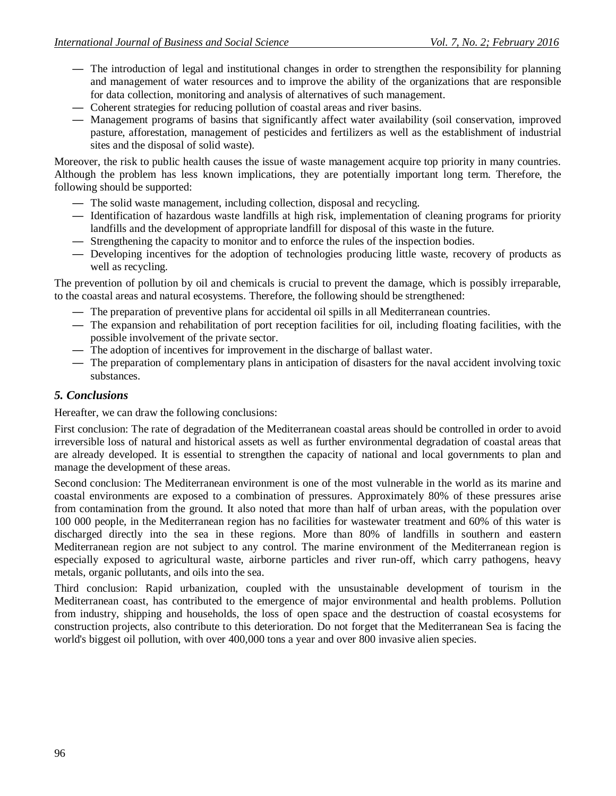- The introduction of legal and institutional changes in order to strengthen the responsibility for planning and management of water resources and to improve the ability of the organizations that are responsible for data collection, monitoring and analysis of alternatives of such management.
- Coherent strategies for reducing pollution of coastal areas and river basins.
- Management programs of basins that significantly affect water availability (soil conservation, improved pasture, afforestation, management of pesticides and fertilizers as well as the establishment of industrial sites and the disposal of solid waste).

Moreover, the risk to public health causes the issue of waste management acquire top priority in many countries. Although the problem has less known implications, they are potentially important long term. Therefore, the following should be supported:

- The solid waste management, including collection, disposal and recycling.
- Identification of hazardous waste landfills at high risk, implementation of cleaning programs for priority landfills and the development of appropriate landfill for disposal of this waste in the future.
- Strengthening the capacity to monitor and to enforce the rules of the inspection bodies.
- Developing incentives for the adoption of technologies producing little waste, recovery of products as well as recycling.

The prevention of pollution by oil and chemicals is crucial to prevent the damage, which is possibly irreparable, to the coastal areas and natural ecosystems. Therefore, the following should be strengthened:

- The preparation of preventive plans for accidental oil spills in all Mediterranean countries.
- The expansion and rehabilitation of port reception facilities for oil, including floating facilities, with the possible involvement of the private sector.
- The adoption of incentives for improvement in the discharge of ballast water.
- The preparation of complementary plans in anticipation of disasters for the naval accident involving toxic substances.

## *5. Conclusions*

Hereafter, we can draw the following conclusions:

First conclusion: The rate of degradation of the Mediterranean coastal areas should be controlled in order to avoid irreversible loss of natural and historical assets as well as further environmental degradation of coastal areas that are already developed. It is essential to strengthen the capacity of national and local governments to plan and manage the development of these areas.

Second conclusion: The Mediterranean environment is one of the most vulnerable in the world as its marine and coastal environments are exposed to a combination of pressures. Approximately 80% of these pressures arise from contamination from the ground. It also noted that more than half of urban areas, with the population over 100 000 people, in the Mediterranean region has no facilities for wastewater treatment and 60% of this water is discharged directly into the sea in these regions. More than 80% of landfills in southern and eastern Mediterranean region are not subject to any control. The marine environment of the Mediterranean region is especially exposed to agricultural waste, airborne particles and river run-off, which carry pathogens, heavy metals, organic pollutants, and oils into the sea.

Third conclusion: Rapid urbanization, coupled with the unsustainable development of tourism in the Mediterranean coast, has contributed to the emergence of major environmental and health problems. Pollution from industry, shipping and households, the loss of open space and the destruction of coastal ecosystems for construction projects, also contribute to this deterioration. Do not forget that the Mediterranean Sea is facing the world's biggest oil pollution, with over 400,000 tons a year and over 800 invasive alien species.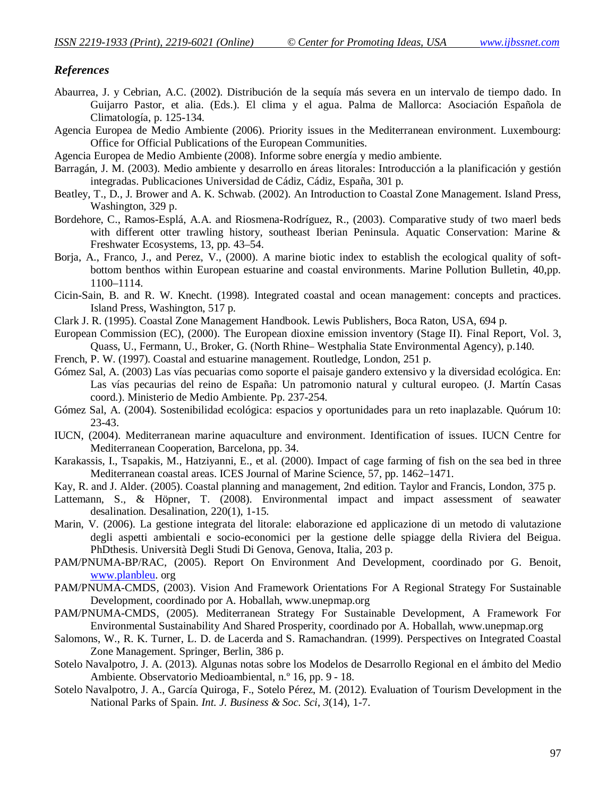## *References*

- Abaurrea, J. y Cebrian, A.C. (2002). Distribución de la sequía más severa en un intervalo de tiempo dado. In Guijarro Pastor, et alia. (Eds.). El clima y el agua. Palma de Mallorca: Asociación Española de Climatología, p. 125-134.
- Agencia Europea de Medio Ambiente (2006). Priority issues in the Mediterranean environment. Luxembourg: Office for Official Publications of the European Communities.
- Agencia Europea de Medio Ambiente (2008). Informe sobre energía y medio ambiente.
- Barragán, J. M. (2003). Medio ambiente y desarrollo en áreas litorales: Introducción a la planificación y gestión integradas. Publicaciones Universidad de Cádiz, Cádiz, España, 301 p.
- Beatley, T., D., J. Brower and A. K. Schwab. (2002). An Introduction to Coastal Zone Management. Island Press, Washington, 329 p.
- Bordehore, C., Ramos-Esplá, A.A. and Riosmena-Rodríguez, R., (2003). Comparative study of two maerl beds with different otter trawling history, southeast Iberian Peninsula. Aquatic Conservation: Marine & Freshwater Ecosystems, 13, pp. 43–54.
- Borja, A., Franco, J., and Perez, V., (2000). A marine biotic index to establish the ecological quality of softbottom benthos within European estuarine and coastal environments. Marine Pollution Bulletin, 40,pp. 1100–1114.
- Cicin-Sain, B. and R. W. Knecht. (1998). Integrated coastal and ocean management: concepts and practices. Island Press, Washington, 517 p.
- Clark J. R. (1995). Coastal Zone Management Handbook. Lewis Publishers, Boca Raton, USA, 694 p.
- European Commission (EC), (2000). The European dioxine emission inventory (Stage II). Final Report, Vol. 3, Quass, U., Fermann, U., Broker, G. (North Rhine– Westphalia State Environmental Agency), p.140.
- French, P. W. (1997). Coastal and estuarine management. Routledge, London, 251 p.
- Gómez Sal, A. (2003) Las vías pecuarias como soporte el paisaje gandero extensivo y la diversidad ecológica. En: Las vías pecaurias del reino de España: Un patromonio natural y cultural europeo. (J. Martín Casas coord.). Ministerio de Medio Ambiente. Pp. 237-254.
- Gómez Sal, A. (2004). Sostenibilidad ecológica: espacios y oportunidades para un reto inaplazable. Quórum 10: 23-43.
- IUCN, (2004). Mediterranean marine aquaculture and environment. Identification of issues. IUCN Centre for Mediterranean Cooperation, Barcelona, pp. 34.
- Karakassis, I., Tsapakis, M., Hatziyanni, E., et al. (2000). Impact of cage farming of fish on the sea bed in three Mediterranean coastal areas. ICES Journal of Marine Science, 57, pp. 1462–1471.
- Kay, R. and J. Alder. (2005). Coastal planning and management, 2nd edition. Taylor and Francis, London, 375 p.
- Lattemann, S., & Höpner, T. (2008). Environmental impact and impact assessment of seawater desalination. Desalination, 220(1), 1-15.
- Marin, V. (2006). La gestione integrata del litorale: elaborazione ed applicazione di un metodo di valutazione degli aspetti ambientali e socio-economici per la gestione delle spiagge della Riviera del Beigua. PhDthesis. Università Degli Studi Di Genova, Genova, Italia, 203 p.
- PAM/PNUMA-BP/RAC, (2005). Report On Environment And Development, coordinado por G. Benoit, www.planbleu. org
- PAM/PNUMA-CMDS, (2003). Vision And Framework Orientations For A Regional Strategy For Sustainable Development, coordinado por A. Hoballah, www.unepmap.org
- PAM/PNUMA-CMDS, (2005). Mediterranean Strategy For Sustainable Development, A Framework For Environmental Sustainability And Shared Prosperity, coordinado por A. Hoballah, www.unepmap.org
- Salomons, W., R. K. Turner, L. D. de Lacerda and S. Ramachandran. (1999). Perspectives on Integrated Coastal Zone Management. Springer, Berlin, 386 p.
- Sotelo Navalpotro, J. A. (2013). Algunas notas sobre los Modelos de Desarrollo Regional en el ámbito del Medio Ambiente. Observatorio Medioambiental, n.º 16, pp. 9 - 18.
- Sotelo Navalpotro, J. A., García Quiroga, F., Sotelo Pérez, M. (2012). Evaluation of Tourism Development in the National Parks of Spain. *Int. J. Business & Soc. Sci*, *3*(14), 1-7.